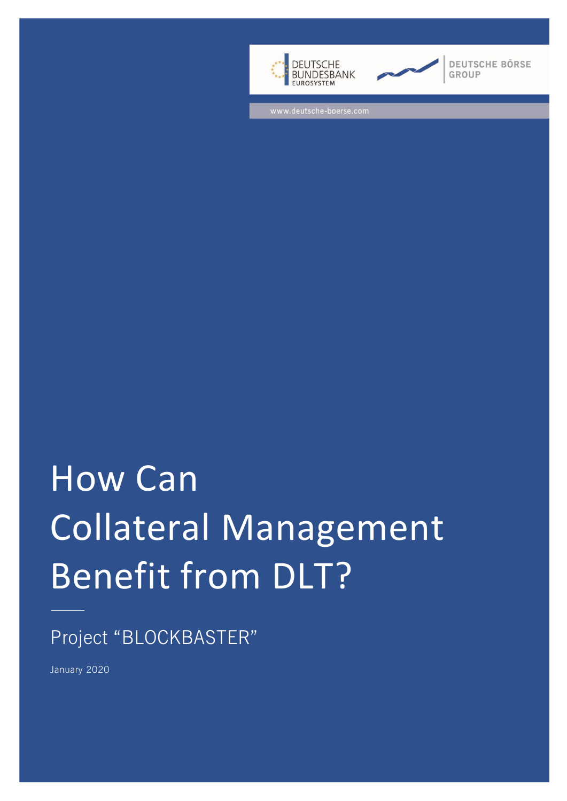



**DEUTSCHE BÖRSE** GROUP

www.deutsche-boerse.com

# How Can Collateral Management Benefit from DLT?

# Project "BLOCKBASTER"

January 2020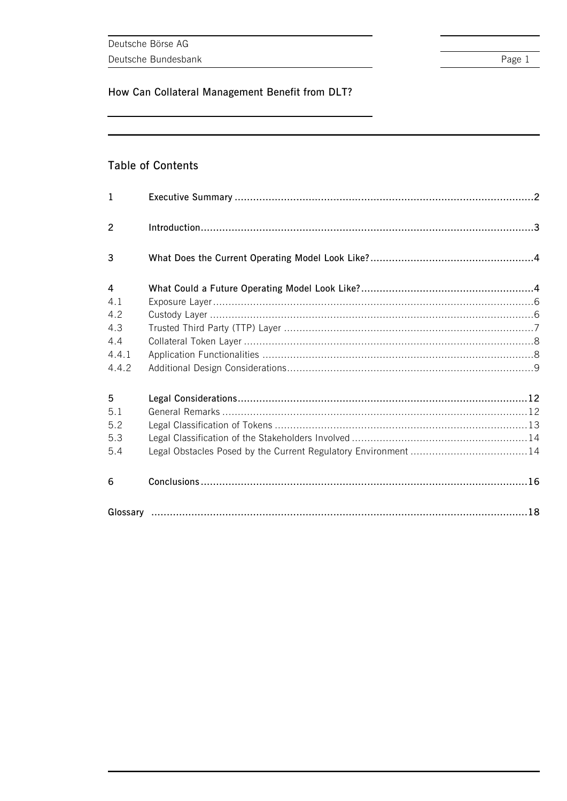### **Table of Contents**

| $\mathbf{1}$   |  |  |
|----------------|--|--|
| 2              |  |  |
| 3              |  |  |
| $\overline{4}$ |  |  |
| 4.1            |  |  |
| 4.2            |  |  |
| 4.3            |  |  |
| 4.4            |  |  |
| 4.4.1          |  |  |
| 4.4.2          |  |  |
| 5              |  |  |
| 5.1            |  |  |
| 5.2            |  |  |
| 5.3            |  |  |
| 5.4            |  |  |
| 6              |  |  |
|                |  |  |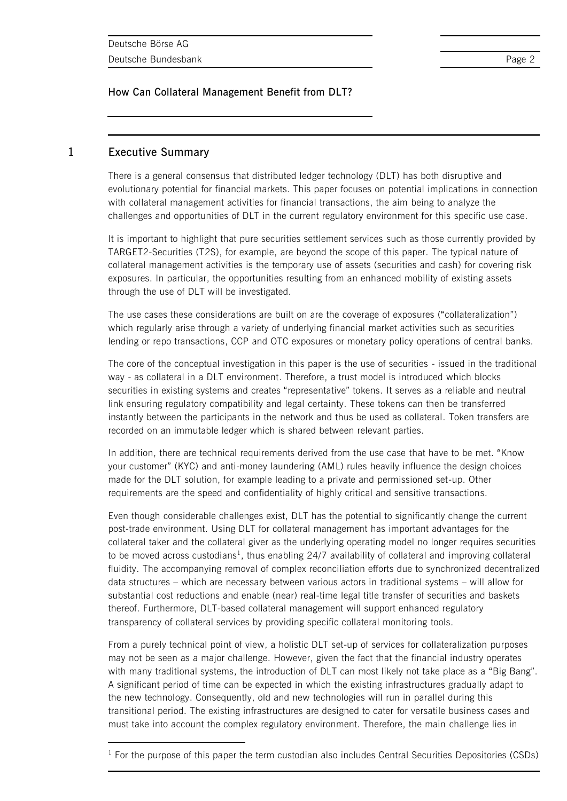### **1 Executive Summary**

l

There is a general consensus that distributed ledger technology (DLT) has both disruptive and evolutionary potential for financial markets. This paper focuses on potential implications in connection with collateral management activities for financial transactions, the aim being to analyze the challenges and opportunities of DLT in the current regulatory environment for this specific use case.

It is important to highlight that pure securities settlement services such as those currently provided by TARGET2-Securities (T2S), for example, are beyond the scope of this paper. The typical nature of collateral management activities is the temporary use of assets (securities and cash) for covering risk exposures. In particular, the opportunities resulting from an enhanced mobility of existing assets through the use of DLT will be investigated.

The use cases these considerations are built on are the coverage of exposures ("collateralization") which regularly arise through a variety of underlying financial market activities such as securities lending or repo transactions, CCP and OTC exposures or monetary policy operations of central banks.

The core of the conceptual investigation in this paper is the use of securities - issued in the traditional way - as collateral in a DLT environment. Therefore, a trust model is introduced which blocks securities in existing systems and creates "representative" tokens. It serves as a reliable and neutral link ensuring regulatory compatibility and legal certainty. These tokens can then be transferred instantly between the participants in the network and thus be used as collateral. Token transfers are recorded on an immutable ledger which is shared between relevant parties.

In addition, there are technical requirements derived from the use case that have to be met. "Know your customer" (KYC) and anti-money laundering (AML) rules heavily influence the design choices made for the DLT solution, for example leading to a private and permissioned set-up. Other requirements are the speed and confidentiality of highly critical and sensitive transactions.

Even though considerable challenges exist, DLT has the potential to significantly change the current post-trade environment. Using DLT for collateral management has important advantages for the collateral taker and the collateral giver as the underlying operating model no longer requires securities to be moved across custodians<sup>1</sup>, thus enabling 24/7 availability of collateral and improving collateral fluidity. The accompanying removal of complex reconciliation efforts due to synchronized decentralized data structures – which are necessary between various actors in traditional systems – will allow for substantial cost reductions and enable (near) real-time legal title transfer of securities and baskets thereof. Furthermore, DLT-based collateral management will support enhanced regulatory transparency of collateral services by providing specific collateral monitoring tools.

From a purely technical point of view, a holistic DLT set-up of services for collateralization purposes may not be seen as a major challenge. However, given the fact that the financial industry operates with many traditional systems, the introduction of DLT can most likely not take place as a "Big Bang". A significant period of time can be expected in which the existing infrastructures gradually adapt to the new technology. Consequently, old and new technologies will run in parallel during this transitional period. The existing infrastructures are designed to cater for versatile business cases and must take into account the complex regulatory environment. Therefore, the main challenge lies in

 $<sup>1</sup>$  For the purpose of this paper the term custodian also includes Central Securities Depositories (CSDs)</sup>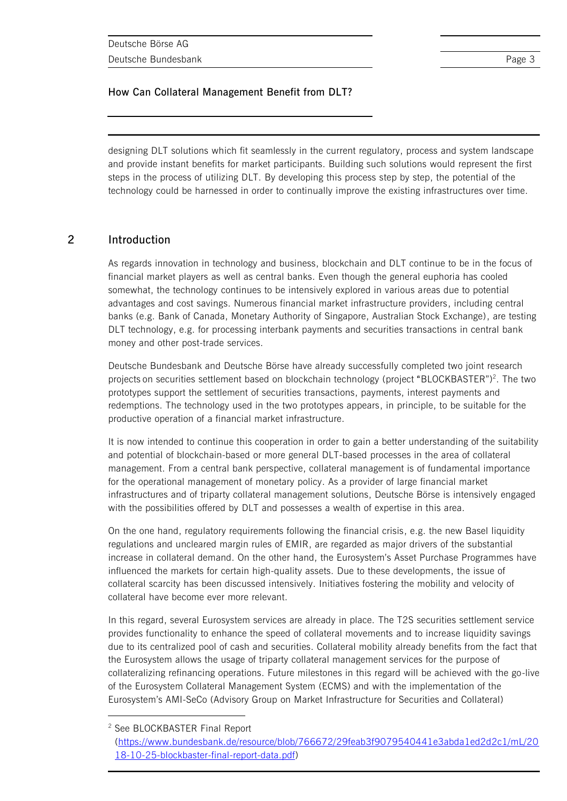designing DLT solutions which fit seamlessly in the current regulatory, process and system landscape and provide instant benefits for market participants. Building such solutions would represent the first steps in the process of utilizing DLT. By developing this process step by step, the potential of the technology could be harnessed in order to continually improve the existing infrastructures over time.

### **2 Introduction**

As regards innovation in technology and business, blockchain and DLT continue to be in the focus of financial market players as well as central banks. Even though the general euphoria has cooled somewhat, the technology continues to be intensively explored in various areas due to potential advantages and cost savings. Numerous financial market infrastructure providers, including central banks (e.g. Bank of Canada, Monetary Authority of Singapore, Australian Stock Exchange), are testing DLT technology, e.g. for processing interbank payments and securities transactions in central bank money and other post-trade services.

Deutsche Bundesbank and Deutsche Börse have already successfully completed two joint research projects on securities settlement based on blockchain technology (project "BLOCKBASTER")<sup>2</sup>. The two prototypes support the settlement of securities transactions, payments, interest payments and redemptions. The technology used in the two prototypes appears, in principle, to be suitable for the productive operation of a financial market infrastructure.

It is now intended to continue this cooperation in order to gain a better understanding of the suitability and potential of blockchain-based or more general DLT-based processes in the area of collateral management. From a central bank perspective, collateral management is of fundamental importance for the operational management of monetary policy. As a provider of large financial market infrastructures and of triparty collateral management solutions, Deutsche Börse is intensively engaged with the possibilities offered by DLT and possesses a wealth of expertise in this area.

On the one hand, regulatory requirements following the financial crisis, e.g. the new Basel liquidity regulations and uncleared margin rules of EMIR, are regarded as major drivers of the substantial increase in collateral demand. On the other hand, the Eurosystem's Asset Purchase Programmes have influenced the markets for certain high-quality assets. Due to these developments, the issue of collateral scarcity has been discussed intensively. Initiatives fostering the mobility and velocity of collateral have become ever more relevant.

In this regard, several Eurosystem services are already in place. The T2S securities settlement service provides functionality to enhance the speed of collateral movements and to increase liquidity savings due to its centralized pool of cash and securities. Collateral mobility already benefits from the fact that the Eurosystem allows the usage of triparty collateral management services for the purpose of collateralizing refinancing operations. Future milestones in this regard will be achieved with the go-live of the Eurosystem Collateral Management System (ECMS) and with the implementation of the Eurosystem's AMI-SeCo (Advisory Group on Market Infrastructure for Securities and Collateral)

 $\overline{a}$ 

<sup>2</sup> See BLOCKBASTER Final Report

[<sup>\(</sup>https://www.bundesbank.de/resource/blob/766672/29feab3f9079540441e3abda1ed2d2c1/mL/20](https://www.bundesbank.de/resource/blob/766672/29feab3f9079540441e3abda1ed2d2c1/mL/2018-10-25-blockbaster-final-report-data.pdf) [18-10-25-blockbaster-final-report-data.pdf\)](https://www.bundesbank.de/resource/blob/766672/29feab3f9079540441e3abda1ed2d2c1/mL/2018-10-25-blockbaster-final-report-data.pdf)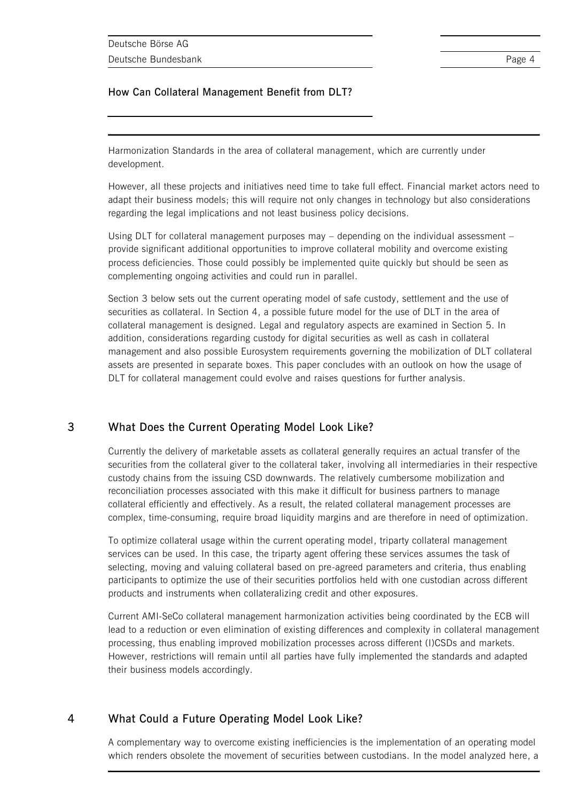Harmonization Standards in the area of collateral management, which are currently under development.

However, all these projects and initiatives need time to take full effect. Financial market actors need to adapt their business models; this will require not only changes in technology but also considerations regarding the legal implications and not least business policy decisions.

Using DLT for collateral management purposes may – depending on the individual assessment – provide significant additional opportunities to improve collateral mobility and overcome existing process deficiencies. Those could possibly be implemented quite quickly but should be seen as complementing ongoing activities and could run in parallel.

Section 3 below sets out the current operating model of safe custody, settlement and the use of securities as collateral. In Section 4, a possible future model for the use of DLT in the area of collateral management is designed. Legal and regulatory aspects are examined in Section 5. In addition, considerations regarding custody for digital securities as well as cash in collateral management and also possible Eurosystem requirements governing the mobilization of DLT collateral assets are presented in separate boxes. This paper concludes with an outlook on how the usage of DLT for collateral management could evolve and raises questions for further analysis.

### **3 What Does the Current Operating Model Look Like?**

Currently the delivery of marketable assets as collateral generally requires an actual transfer of the securities from the collateral giver to the collateral taker, involving all intermediaries in their respective custody chains from the issuing CSD downwards. The relatively cumbersome mobilization and reconciliation processes associated with this make it difficult for business partners to manage collateral efficiently and effectively. As a result, the related collateral management processes are complex, time-consuming, require broad liquidity margins and are therefore in need of optimization.

To optimize collateral usage within the current operating model, triparty collateral management services can be used. In this case, the triparty agent offering these services assumes the task of selecting, moving and valuing collateral based on pre-agreed parameters and criteria, thus enabling participants to optimize the use of their securities portfolios held with one custodian across different products and instruments when collateralizing credit and other exposures.

Current AMI-SeCo collateral management harmonization activities being coordinated by the ECB will lead to a reduction or even elimination of existing differences and complexity in collateral management processing, thus enabling improved mobilization processes across different (I)CSDs and markets. However, restrictions will remain until all parties have fully implemented the standards and adapted their business models accordingly.

### **4 What Could a Future Operating Model Look Like?**

A complementary way to overcome existing inefficiencies is the implementation of an operating model which renders obsolete the movement of securities between custodians. In the model analyzed here, a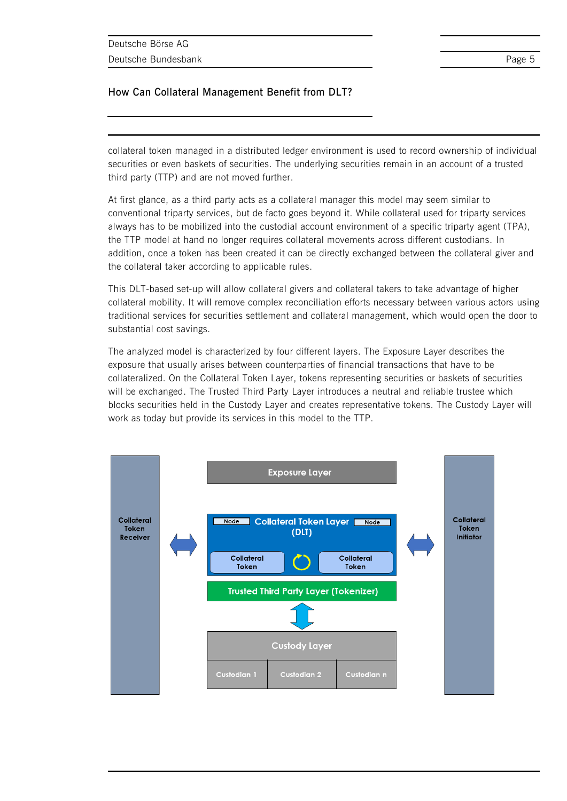collateral token managed in a distributed ledger environment is used to record ownership of individual securities or even baskets of securities. The underlying securities remain in an account of a trusted third party (TTP) and are not moved further.

At first glance, as a third party acts as a collateral manager this model may seem similar to conventional triparty services, but de facto goes beyond it. While collateral used for triparty services always has to be mobilized into the custodial account environment of a specific triparty agent (TPA), the TTP model at hand no longer requires collateral movements across different custodians. In addition, once a token has been created it can be directly exchanged between the collateral giver and the collateral taker according to applicable rules.

This DLT-based set-up will allow collateral givers and collateral takers to take advantage of higher collateral mobility. It will remove complex reconciliation efforts necessary between various actors using traditional services for securities settlement and collateral management, which would open the door to substantial cost savings.

The analyzed model is characterized by four different layers. The Exposure Layer describes the exposure that usually arises between counterparties of financial transactions that have to be collateralized. On the Collateral Token Layer, tokens representing securities or baskets of securities will be exchanged. The Trusted Third Party Layer introduces a neutral and reliable trustee which blocks securities held in the Custody Layer and creates representative tokens. The Custody Layer will work as today but provide its services in this model to the TTP.

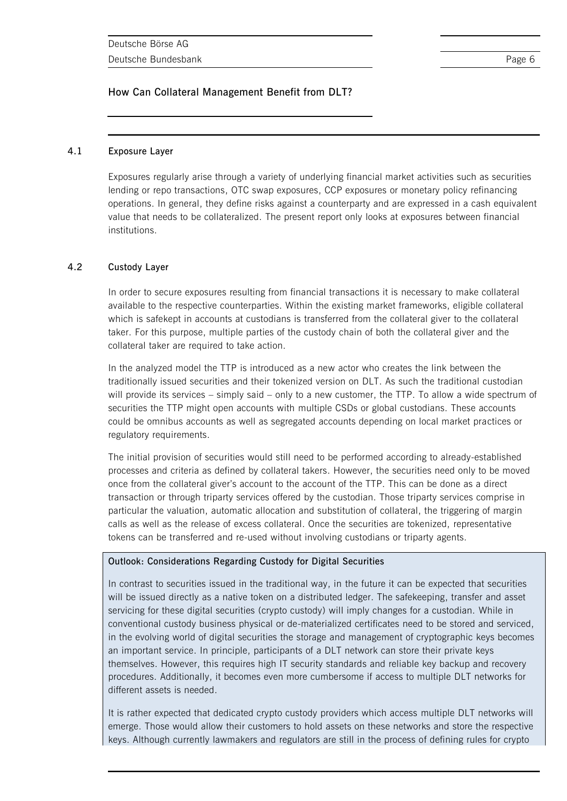### **4.1 Exposure Layer**

Exposures regularly arise through a variety of underlying financial market activities such as securities lending or repo transactions, OTC swap exposures, CCP exposures or monetary policy refinancing operations. In general, they define risks against a counterparty and are expressed in a cash equivalent value that needs to be collateralized. The present report only looks at exposures between financial institutions.

### **4.2 Custody Layer**

In order to secure exposures resulting from financial transactions it is necessary to make collateral available to the respective counterparties. Within the existing market frameworks, eligible collateral which is safekept in accounts at custodians is transferred from the collateral giver to the collateral taker. For this purpose, multiple parties of the custody chain of both the collateral giver and the collateral taker are required to take action.

In the analyzed model the TTP is introduced as a new actor who creates the link between the traditionally issued securities and their tokenized version on DLT. As such the traditional custodian will provide its services – simply said – only to a new customer, the TTP. To allow a wide spectrum of securities the TTP might open accounts with multiple CSDs or global custodians. These accounts could be omnibus accounts as well as segregated accounts depending on local market practices or regulatory requirements.

The initial provision of securities would still need to be performed according to already-established processes and criteria as defined by collateral takers. However, the securities need only to be moved once from the collateral giver's account to the account of the TTP. This can be done as a direct transaction or through triparty services offered by the custodian. Those triparty services comprise in particular the valuation, automatic allocation and substitution of collateral, the triggering of margin calls as well as the release of excess collateral. Once the securities are tokenized, representative tokens can be transferred and re-used without involving custodians or triparty agents.

### **Outlook: Considerations Regarding Custody for Digital Securities**

In contrast to securities issued in the traditional way, in the future it can be expected that securities will be issued directly as a native token on a distributed ledger. The safekeeping, transfer and asset servicing for these digital securities (crypto custody) will imply changes for a custodian. While in conventional custody business physical or de-materialized certificates need to be stored and serviced, in the evolving world of digital securities the storage and management of cryptographic keys becomes an important service. In principle, participants of a DLT network can store their private keys themselves. However, this requires high IT security standards and reliable key backup and recovery procedures. Additionally, it becomes even more cumbersome if access to multiple DLT networks for different assets is needed.

It is rather expected that dedicated crypto custody providers which access multiple DLT networks will emerge. Those would allow their customers to hold assets on these networks and store the respective keys. Although currently lawmakers and regulators are still in the process of defining rules for crypto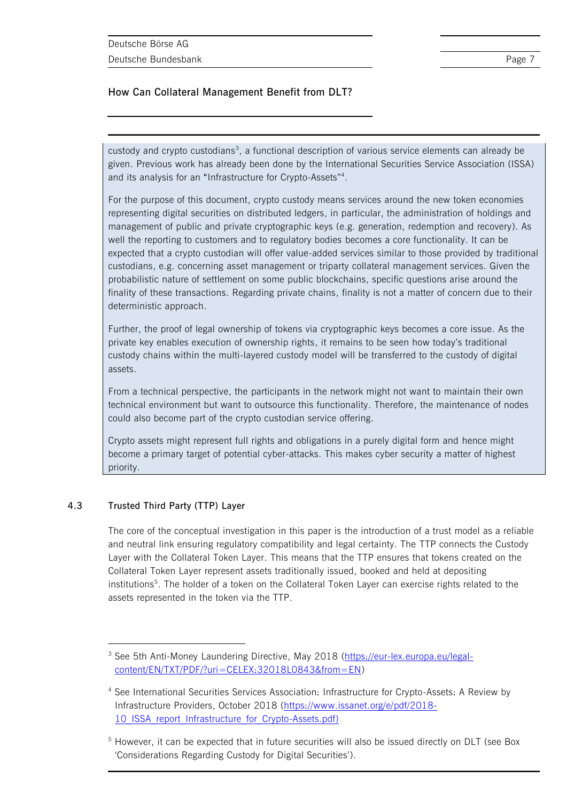custody and crypto custodians<sup>3</sup>, a functional description of various service elements can already be given. Previous work has already been done by the International Securities Service Association (ISSA) and its analysis for an "Infrastructure for Crypto-Assets"<sup>4</sup>.

For the purpose of this document, crypto custody means services around the new token economies representing digital securities on distributed ledgers, in particular, the administration of holdings and management of public and private cryptographic keys (e.g. generation, redemption and recovery). As well the reporting to customers and to regulatory bodies becomes a core functionality. It can be expected that a crypto custodian will offer value-added services similar to those provided by traditional custodians, e.g. concerning asset management or triparty collateral management services. Given the probabilistic nature of settlement on some public blockchains, specific questions arise around the finality of these transactions. Regarding private chains, finality is not a matter of concern due to their deterministic approach.

Further, the proof of legal ownership of tokens via cryptographic keys becomes a core issue. As the private key enables execution of ownership rights, it remains to be seen how today's traditional custody chains within the multi-layered custody model will be transferred to the custody of digital assets.

From a technical perspective, the participants in the network might not want to maintain their own technical environment but want to outsource this functionality. Therefore, the maintenance of nodes could also become part of the crypto custodian service offering.

Crypto assets might represent full rights and obligations in a purely digital form and hence might become a primary target of potential cyber-attacks. This makes cyber security a matter of highest priority.

### **4.3 Trusted Third Party (TTP) Layer**

l

The core of the conceptual investigation in this paper is the introduction of a trust model as a reliable and neutral link ensuring regulatory compatibility and legal certainty. The TTP connects the Custody Layer with the Collateral Token Layer. This means that the TTP ensures that tokens created on the Collateral Token Layer represent assets traditionally issued, booked and held at depositing institutions<sup>5</sup>. The holder of a token on the Collateral Token Layer can exercise rights related to the assets represented in the token via the TTP.

<sup>3</sup> See 5th Anti-Money Laundering Directive, May 2018 [\(https://eur-lex.europa.eu/legal](https://eur-lex.europa.eu/legal-content/EN/TXT/PDF/?uri=CELEX:32018L0843&from=EN)[content/EN/TXT/PDF/?uri=CELEX:32018L0843&from=EN\)](https://eur-lex.europa.eu/legal-content/EN/TXT/PDF/?uri=CELEX:32018L0843&from=EN)

<sup>4</sup> See International Securities Services Association: Infrastructure for Crypto-Assets: A Review by Infrastructure Providers, October 2018 [\(https://www.issanet.org/e/pdf/2018-](https://www.issanet.org/e/pdf/2018-10_ISSA_report_Infrastructure_for_Crypto-Assets.pdf) [10\\_ISSA\\_report\\_Infrastructure\\_for\\_Crypto-Assets.pdf\)](https://www.issanet.org/e/pdf/2018-10_ISSA_report_Infrastructure_for_Crypto-Assets.pdf)

<sup>&</sup>lt;sup>5</sup> However, it can be expected that in future securities will also be issued directly on DLT (see Box 'Considerations Regarding Custody for Digital Securities').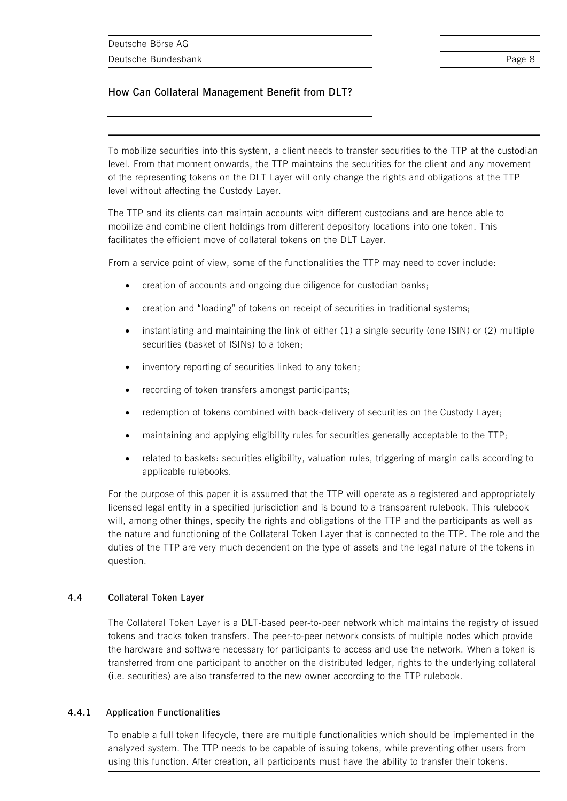To mobilize securities into this system, a client needs to transfer securities to the TTP at the custodian level. From that moment onwards, the TTP maintains the securities for the client and any movement of the representing tokens on the DLT Layer will only change the rights and obligations at the TTP level without affecting the Custody Layer.

The TTP and its clients can maintain accounts with different custodians and are hence able to mobilize and combine client holdings from different depository locations into one token. This facilitates the efficient move of collateral tokens on the DLT Layer.

From a service point of view, some of the functionalities the TTP may need to cover include:

- creation of accounts and ongoing due diligence for custodian banks;
- creation and "loading" of tokens on receipt of securities in traditional systems;
- instantiating and maintaining the link of either (1) a single security (one ISIN) or (2) multiple securities (basket of ISINs) to a token;
- inventory reporting of securities linked to any token;
- recording of token transfers amongst participants;
- redemption of tokens combined with back-delivery of securities on the Custody Layer;
- maintaining and applying eligibility rules for securities generally acceptable to the TTP;
- related to baskets: securities eligibility, valuation rules, triggering of margin calls according to applicable rulebooks.

For the purpose of this paper it is assumed that the TTP will operate as a registered and appropriately licensed legal entity in a specified jurisdiction and is bound to a transparent rulebook. This rulebook will, among other things, specify the rights and obligations of the TTP and the participants as well as the nature and functioning of the Collateral Token Layer that is connected to the TTP. The role and the duties of the TTP are very much dependent on the type of assets and the legal nature of the tokens in question.

### **4.4 Collateral Token Layer**

The Collateral Token Layer is a DLT-based peer-to-peer network which maintains the registry of issued tokens and tracks token transfers. The peer-to-peer network consists of multiple nodes which provide the hardware and software necessary for participants to access and use the network. When a token is transferred from one participant to another on the distributed ledger, rights to the underlying collateral (i.e. securities) are also transferred to the new owner according to the TTP rulebook.

### **4.4.1 Application Functionalities**

To enable a full token lifecycle, there are multiple functionalities which should be implemented in the analyzed system. The TTP needs to be capable of issuing tokens, while preventing other users from using this function. After creation, all participants must have the ability to transfer their tokens.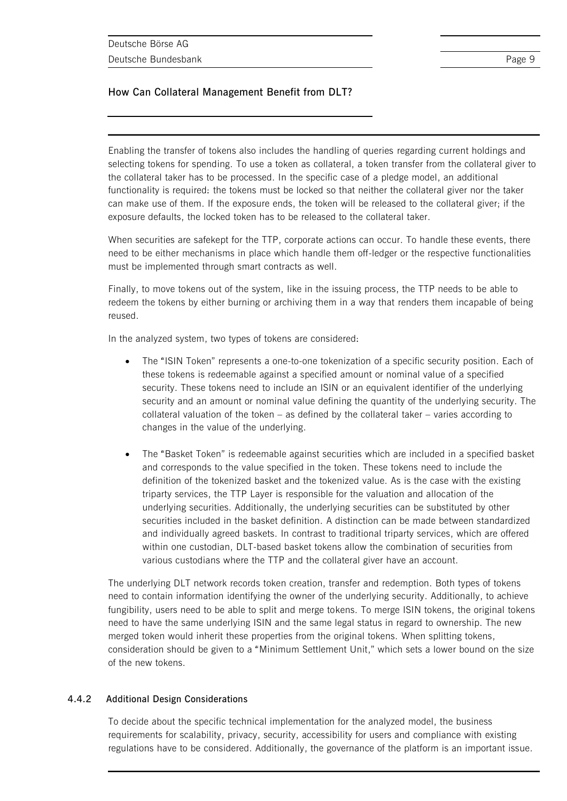Enabling the transfer of tokens also includes the handling of queries regarding current holdings and selecting tokens for spending. To use a token as collateral, a token transfer from the collateral giver to the collateral taker has to be processed. In the specific case of a pledge model, an additional functionality is required: the tokens must be locked so that neither the collateral giver nor the taker can make use of them. If the exposure ends, the token will be released to the collateral giver; if the exposure defaults, the locked token has to be released to the collateral taker.

When securities are safekept for the TTP, corporate actions can occur. To handle these events, there need to be either mechanisms in place which handle them off-ledger or the respective functionalities must be implemented through smart contracts as well.

Finally, to move tokens out of the system, like in the issuing process, the TTP needs to be able to redeem the tokens by either burning or archiving them in a way that renders them incapable of being reused.

In the analyzed system, two types of tokens are considered:

- The "ISIN Token" represents a one-to-one tokenization of a specific security position. Each of these tokens is redeemable against a specified amount or nominal value of a specified security. These tokens need to include an ISIN or an equivalent identifier of the underlying security and an amount or nominal value defining the quantity of the underlying security. The collateral valuation of the token – as defined by the collateral taker – varies according to changes in the value of the underlying.
- The "Basket Token" is redeemable against securities which are included in a specified basket and corresponds to the value specified in the token. These tokens need to include the definition of the tokenized basket and the tokenized value. As is the case with the existing triparty services, the TTP Layer is responsible for the valuation and allocation of the underlying securities. Additionally, the underlying securities can be substituted by other securities included in the basket definition. A distinction can be made between standardized and individually agreed baskets. In contrast to traditional triparty services, which are offered within one custodian, DLT-based basket tokens allow the combination of securities from various custodians where the TTP and the collateral giver have an account.

The underlying DLT network records token creation, transfer and redemption. Both types of tokens need to contain information identifying the owner of the underlying security. Additionally, to achieve fungibility, users need to be able to split and merge tokens. To merge ISIN tokens, the original tokens need to have the same underlying ISIN and the same legal status in regard to ownership. The new merged token would inherit these properties from the original tokens. When splitting tokens, consideration should be given to a "Minimum Settlement Unit," which sets a lower bound on the size of the new tokens.

### **4.4.2 Additional Design Considerations**

To decide about the specific technical implementation for the analyzed model, the business requirements for scalability, privacy, security, accessibility for users and compliance with existing regulations have to be considered. Additionally, the governance of the platform is an important issue.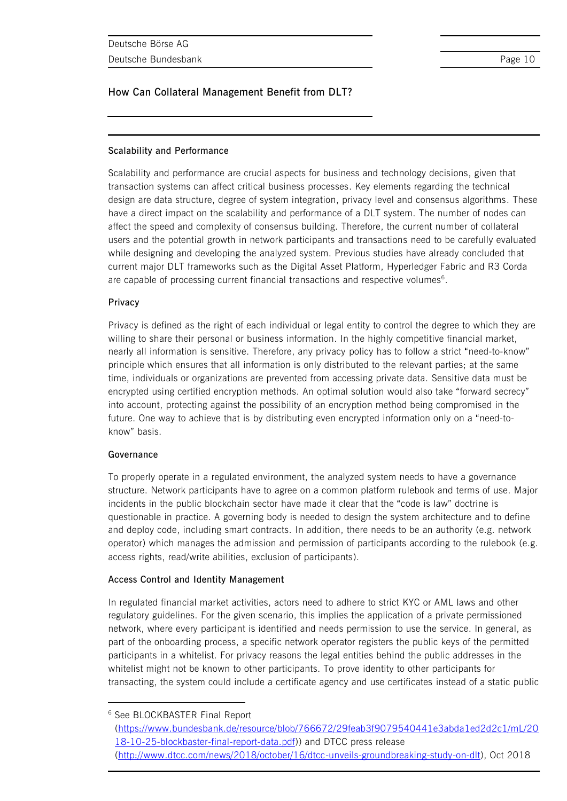### **Scalability and Performance**

Scalability and performance are crucial aspects for business and technology decisions, given that transaction systems can affect critical business processes. Key elements regarding the technical design are data structure, degree of system integration, privacy level and consensus algorithms. These have a direct impact on the scalability and performance of a DLT system. The number of nodes can affect the speed and complexity of consensus building. Therefore, the current number of collateral users and the potential growth in network participants and transactions need to be carefully evaluated while designing and developing the analyzed system. Previous studies have already concluded that current major DLT frameworks such as the Digital Asset Platform, Hyperledger Fabric and R3 Corda are capable of processing current financial transactions and respective volumes $6$ .

### **Privacy**

Privacy is defined as the right of each individual or legal entity to control the degree to which they are willing to share their personal or business information. In the highly competitive financial market, nearly all information is sensitive. Therefore, any privacy policy has to follow a strict "need-to-know" principle which ensures that all information is only distributed to the relevant parties; at the same time, individuals or organizations are prevented from accessing private data. Sensitive data must be encrypted using certified encryption methods. An optimal solution would also take "forward secrecy" into account, protecting against the possibility of an encryption method being compromised in the future. One way to achieve that is by distributing even encrypted information only on a "need-toknow" basis.

### **Governance**

To properly operate in a regulated environment, the analyzed system needs to have a governance structure. Network participants have to agree on a common platform rulebook and terms of use. Major incidents in the public blockchain sector have made it clear that the "code is law" doctrine is questionable in practice. A governing body is needed to design the system architecture and to define and deploy code, including smart contracts. In addition, there needs to be an authority (e.g. network operator) which manages the admission and permission of participants according to the rulebook (e.g. access rights, read/write abilities, exclusion of participants).

### **Access Control and Identity Management**

In regulated financial market activities, actors need to adhere to strict KYC or AML laws and other regulatory guidelines. For the given scenario, this implies the application of a private permissioned network, where every participant is identified and needs permission to use the service. In general, as part of the onboarding process, a specific network operator registers the public keys of the permitted participants in a whitelist. For privacy reasons the legal entities behind the public addresses in the whitelist might not be known to other participants. To prove identity to other participants for transacting, the system could include a certificate agency and use certificates instead of a static public

 $\overline{a}$ 

[\(https://www.bundesbank.de/resource/blob/766672/29feab3f9079540441e3abda1ed2d2c1/mL/20](https://www.bundesbank.de/resource/blob/766672/29feab3f9079540441e3abda1ed2d2c1/mL/2018-10-25-blockbaster-final-report-data.pdf) [18-10-25-blockbaster-final-report-data.pdf\)](https://www.bundesbank.de/resource/blob/766672/29feab3f9079540441e3abda1ed2d2c1/mL/2018-10-25-blockbaster-final-report-data.pdf)) and DTCC press release [\(http://www.dtcc.com/news/2018/october/16/dtcc-unveils-groundbreaking-study-on-dlt\)](http://www.dtcc.com/news/2018/october/16/dtcc-unveils-groundbreaking-study-on-dlt), Oct 2018

<sup>6</sup> See BLOCKBASTER Final Report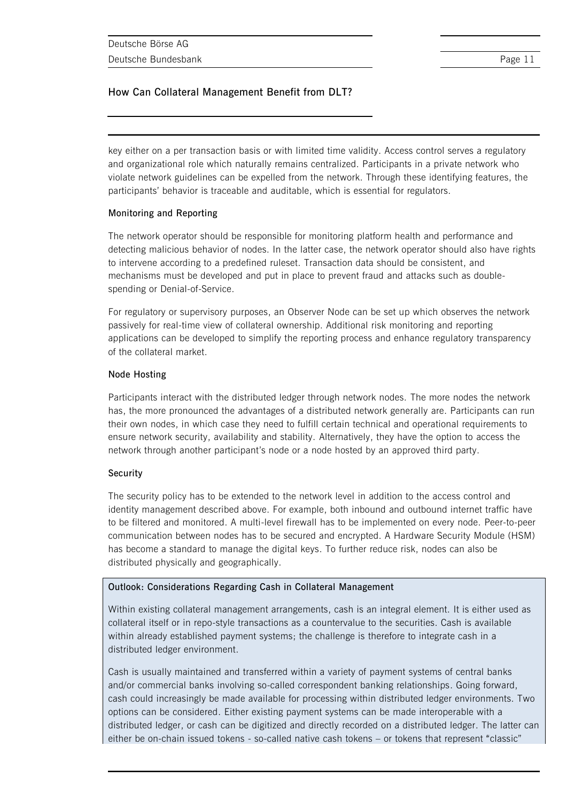key either on a per transaction basis or with limited time validity. Access control serves a regulatory and organizational role which naturally remains centralized. Participants in a private network who violate network guidelines can be expelled from the network. Through these identifying features, the participants' behavior is traceable and auditable, which is essential for regulators.

### **Monitoring and Reporting**

The network operator should be responsible for monitoring platform health and performance and detecting malicious behavior of nodes. In the latter case, the network operator should also have rights to intervene according to a predefined ruleset. Transaction data should be consistent, and mechanisms must be developed and put in place to prevent fraud and attacks such as doublespending or Denial-of-Service.

For regulatory or supervisory purposes, an Observer Node can be set up which observes the network passively for real-time view of collateral ownership. Additional risk monitoring and reporting applications can be developed to simplify the reporting process and enhance regulatory transparency of the collateral market.

### **Node Hosting**

Participants interact with the distributed ledger through network nodes. The more nodes the network has, the more pronounced the advantages of a distributed network generally are. Participants can run their own nodes, in which case they need to fulfill certain technical and operational requirements to ensure network security, availability and stability. Alternatively, they have the option to access the network through another participant's node or a node hosted by an approved third party.

### **Security**

The security policy has to be extended to the network level in addition to the access control and identity management described above. For example, both inbound and outbound internet traffic have to be filtered and monitored. A multi-level firewall has to be implemented on every node. Peer-to-peer communication between nodes has to be secured and encrypted. A Hardware Security Module (HSM) has become a standard to manage the digital keys. To further reduce risk, nodes can also be distributed physically and geographically.

### **Outlook: Considerations Regarding Cash in Collateral Management**

Within existing collateral management arrangements, cash is an integral element. It is either used as collateral itself or in repo-style transactions as a countervalue to the securities. Cash is available within already established payment systems; the challenge is therefore to integrate cash in a distributed ledger environment.

Cash is usually maintained and transferred within a variety of payment systems of central banks and/or commercial banks involving so-called correspondent banking relationships. Going forward, cash could increasingly be made available for processing within distributed ledger environments. Two options can be considered. Either existing payment systems can be made interoperable with a distributed ledger, or cash can be digitized and directly recorded on a distributed ledger. The latter can either be on-chain issued tokens - so-called native cash tokens – or tokens that represent "classic"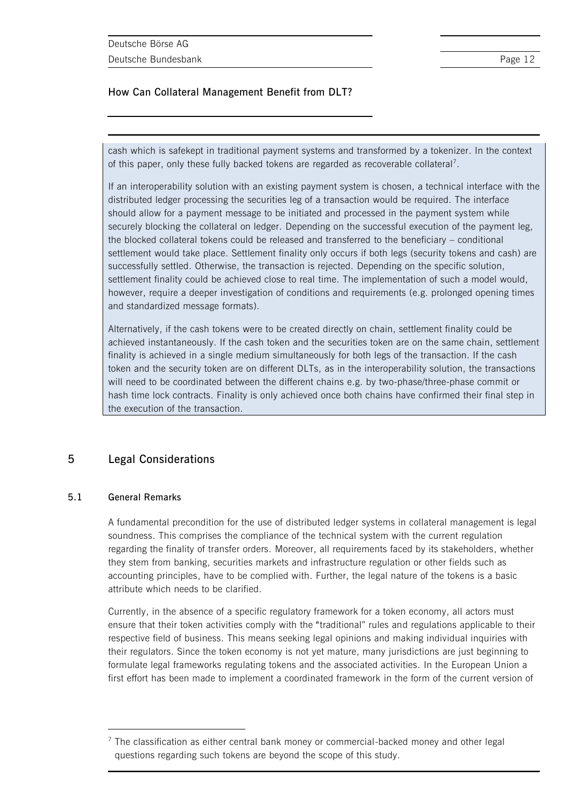cash which is safekept in traditional payment systems and transformed by a tokenizer. In the context of this paper, only these fully backed tokens are regarded as recoverable collateral<sup>7</sup>.

If an interoperability solution with an existing payment system is chosen, a technical interface with the distributed ledger processing the securities leg of a transaction would be required. The interface should allow for a payment message to be initiated and processed in the payment system while securely blocking the collateral on ledger. Depending on the successful execution of the payment leg, the blocked collateral tokens could be released and transferred to the beneficiary – conditional settlement would take place. Settlement finality only occurs if both legs (security tokens and cash) are successfully settled. Otherwise, the transaction is rejected. Depending on the specific solution, settlement finality could be achieved close to real time. The implementation of such a model would, however, require a deeper investigation of conditions and requirements (e.g. prolonged opening times and standardized message formats).

Alternatively, if the cash tokens were to be created directly on chain, settlement finality could be achieved instantaneously. If the cash token and the securities token are on the same chain, settlement finality is achieved in a single medium simultaneously for both legs of the transaction. If the cash token and the security token are on different DLTs, as in the interoperability solution, the transactions will need to be coordinated between the different chains e.g. by two-phase/three-phase commit or hash time lock contracts. Finality is only achieved once both chains have confirmed their final step in the execution of the transaction.

### **5 Legal Considerations**

### **5.1 General Remarks**

 $\overline{a}$ 

A fundamental precondition for the use of distributed ledger systems in collateral management is legal soundness. This comprises the compliance of the technical system with the current regulation regarding the finality of transfer orders. Moreover, all requirements faced by its stakeholders, whether they stem from banking, securities markets and infrastructure regulation or other fields such as accounting principles, have to be complied with. Further, the legal nature of the tokens is a basic attribute which needs to be clarified.

Currently, in the absence of a specific regulatory framework for a token economy, all actors must ensure that their token activities comply with the "traditional" rules and regulations applicable to their respective field of business. This means seeking legal opinions and making individual inquiries with their regulators. Since the token economy is not yet mature, many jurisdictions are just beginning to formulate legal frameworks regulating tokens and the associated activities. In the European Union a first effort has been made to implement a coordinated framework in the form of the current version of

 $<sup>7</sup>$  The classification as either central bank money or commercial-backed money and other legal</sup> questions regarding such tokens are beyond the scope of this study.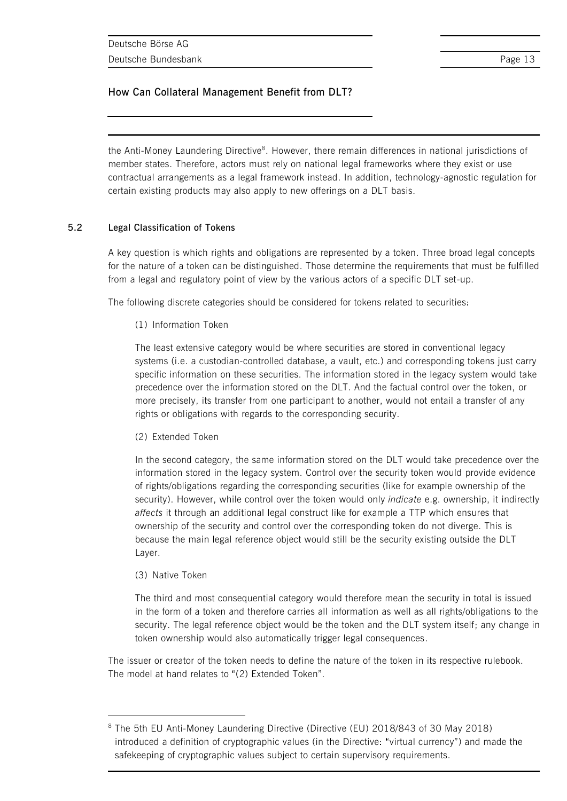the Anti-Money Laundering Directive<sup>8</sup>. However, there remain differences in national jurisdictions of member states. Therefore, actors must rely on national legal frameworks where they exist or use contractual arrangements as a legal framework instead. In addition, technology-agnostic regulation for certain existing products may also apply to new offerings on a DLT basis.

### **5.2 Legal Classification of Tokens**

A key question is which rights and obligations are represented by a token. Three broad legal concepts for the nature of a token can be distinguished. Those determine the requirements that must be fulfilled from a legal and regulatory point of view by the various actors of a specific DLT set-up.

The following discrete categories should be considered for tokens related to securities:

(1) Information Token

The least extensive category would be where securities are stored in conventional legacy systems (i.e. a custodian-controlled database, a vault, etc.) and corresponding tokens just carry specific information on these securities. The information stored in the legacy system would take precedence over the information stored on the DLT. And the factual control over the token, or more precisely, its transfer from one participant to another, would not entail a transfer of any rights or obligations with regards to the corresponding security.

(2) Extended Token

In the second category, the same information stored on the DLT would take precedence over the information stored in the legacy system. Control over the security token would provide evidence of rights/obligations regarding the corresponding securities (like for example ownership of the security). However, while control over the token would only *indicate* e.g. ownership, it indirectly *affects* it through an additional legal construct like for example a TTP which ensures that ownership of the security and control over the corresponding token do not diverge. This is because the main legal reference object would still be the security existing outside the DLT Layer.

(3) Native Token

 $\overline{a}$ 

The third and most consequential category would therefore mean the security in total is issued in the form of a token and therefore carries all information as well as all rights/obligations to the security. The legal reference object would be the token and the DLT system itself; any change in token ownership would also automatically trigger legal consequences.

The issuer or creator of the token needs to define the nature of the token in its respective rulebook. The model at hand relates to "(2) Extended Token".

<sup>&</sup>lt;sup>8</sup> The 5th EU Anti-Money Laundering Directive (Directive (EU) 2018/843 of 30 May 2018) introduced a definition of cryptographic values (in the Directive: "virtual currency") and made the safekeeping of cryptographic values subject to certain supervisory requirements.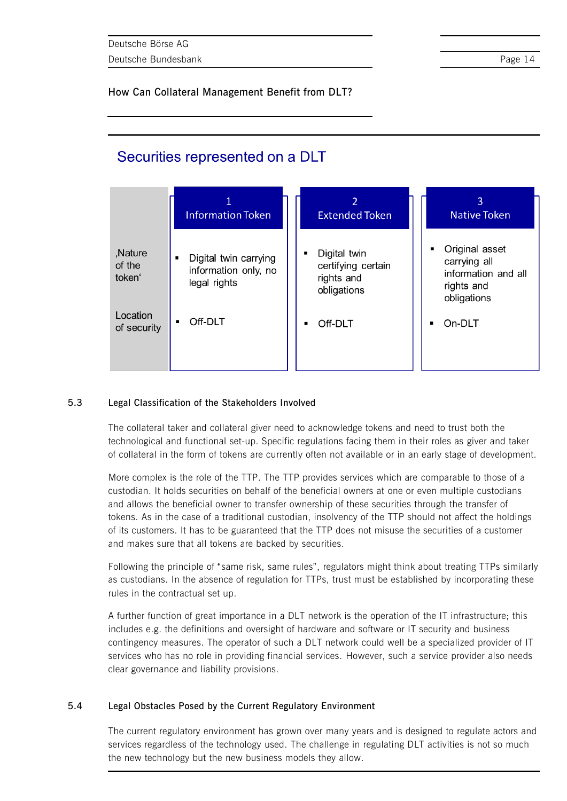## Securities represented on a DLT

|                                         | <b>Information Token</b>                                      | $\overline{2}$<br><b>Extended Token</b>                         | 3<br><b>Native Token</b>                                                           |
|-----------------------------------------|---------------------------------------------------------------|-----------------------------------------------------------------|------------------------------------------------------------------------------------|
| ,Nature<br>of the<br>token <sup>'</sup> | Digital twin carrying<br>information only, no<br>legal rights | Digital twin<br>certifying certain<br>rights and<br>obligations | Original asset<br>carrying all<br>information and all<br>rights and<br>obligations |
| Location<br>of security                 | Off-DLT<br>٠                                                  | Off-DLT                                                         | On-DLT                                                                             |

### **5.3 Legal Classification of the Stakeholders Involved**

The collateral taker and collateral giver need to acknowledge tokens and need to trust both the technological and functional set-up. Specific regulations facing them in their roles as giver and taker of collateral in the form of tokens are currently often not available or in an early stage of development.

More complex is the role of the TTP. The TTP provides services which are comparable to those of a custodian. It holds securities on behalf of the beneficial owners at one or even multiple custodians and allows the beneficial owner to transfer ownership of these securities through the transfer of tokens. As in the case of a traditional custodian, insolvency of the TTP should not affect the holdings of its customers. It has to be guaranteed that the TTP does not misuse the securities of a customer and makes sure that all tokens are backed by securities.

Following the principle of "same risk, same rules", regulators might think about treating TTPs similarly as custodians. In the absence of regulation for TTPs, trust must be established by incorporating these rules in the contractual set up.

A further function of great importance in a DLT network is the operation of the IT infrastructure; this includes e.g. the definitions and oversight of hardware and software or IT security and business contingency measures. The operator of such a DLT network could well be a specialized provider of IT services who has no role in providing financial services. However, such a service provider also needs clear governance and liability provisions.

### **5.4 Legal Obstacles Posed by the Current Regulatory Environment**

The current regulatory environment has grown over many years and is designed to regulate actors and services regardless of the technology used. The challenge in regulating DLT activities is not so much the new technology but the new business models they allow.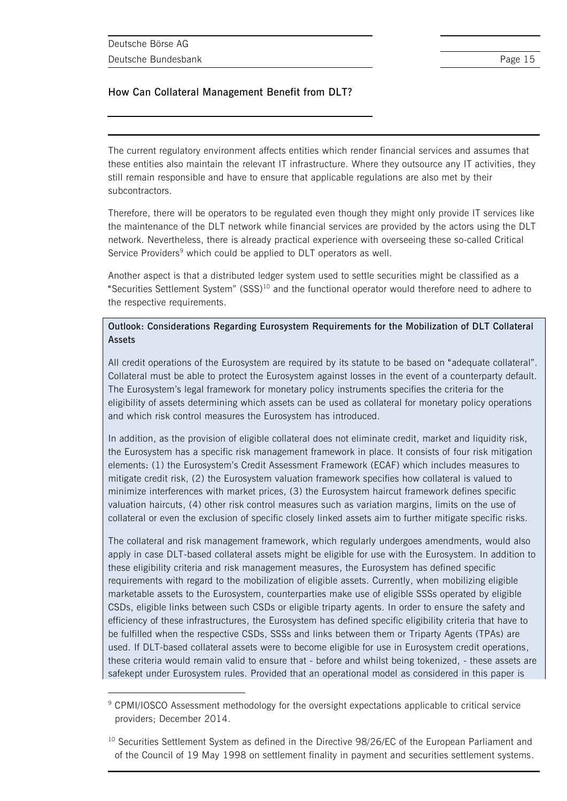$\overline{a}$ 

### **How Can Collateral Management Benefit from DLT?**

The current regulatory environment affects entities which render financial services and assumes that these entities also maintain the relevant IT infrastructure. Where they outsource any IT activities, they still remain responsible and have to ensure that applicable regulations are also met by their subcontractors.

Therefore, there will be operators to be regulated even though they might only provide IT services like the maintenance of the DLT network while financial services are provided by the actors using the DLT network. Nevertheless, there is already practical experience with overseeing these so-called Critical Service Providers<sup>9</sup> which could be applied to DLT operators as well.

Another aspect is that a distributed ledger system used to settle securities might be classified as a "Securities Settlement System" (SSS)<sup>10</sup> and the functional operator would therefore need to adhere to the respective requirements.

### **Outlook: Considerations Regarding Eurosystem Requirements for the Mobilization of DLT Collateral Assets**

All credit operations of the Eurosystem are required by its statute to be based on "adequate collateral". Collateral must be able to protect the Eurosystem against losses in the event of a counterparty default. The Eurosystem's legal framework for monetary policy instruments specifies the criteria for the eligibility of assets determining which assets can be used as collateral for monetary policy operations and which risk control measures the Eurosystem has introduced.

In addition, as the provision of eligible collateral does not eliminate credit, market and liquidity risk, the Eurosystem has a specific risk management framework in place. It consists of four risk mitigation elements: (1) the Eurosystem's Credit Assessment Framework (ECAF) which includes measures to mitigate credit risk, (2) the Eurosystem valuation framework specifies how collateral is valued to minimize interferences with market prices, (3) the Eurosystem haircut framework defines specific valuation haircuts, (4) other risk control measures such as variation margins, limits on the use of collateral or even the exclusion of specific closely linked assets aim to further mitigate specific risks.

The collateral and risk management framework, which regularly undergoes amendments, would also apply in case DLT-based collateral assets might be eligible for use with the Eurosystem. In addition to these eligibility criteria and risk management measures, the Eurosystem has defined specific requirements with regard to the mobilization of eligible assets. Currently, when mobilizing eligible marketable assets to the Eurosystem, counterparties make use of eligible SSSs operated by eligible CSDs, eligible links between such CSDs or eligible triparty agents. In order to ensure the safety and efficiency of these infrastructures, the Eurosystem has defined specific eligibility criteria that have to be fulfilled when the respective CSDs, SSSs and links between them or Triparty Agents (TPAs) are used. If DLT-based collateral assets were to become eligible for use in Eurosystem credit operations, these criteria would remain valid to ensure that - before and whilst being tokenized, - these assets are safekept under Eurosystem rules. Provided that an operational model as considered in this paper is

<sup>9</sup> CPMI/IOSCO Assessment methodology for the oversight expectations applicable to critical service providers; December 2014.

<sup>&</sup>lt;sup>10</sup> Securities Settlement System as defined in the Directive 98/26/EC of the European Parliament and of the Council of 19 May 1998 on settlement finality in payment and securities settlement systems.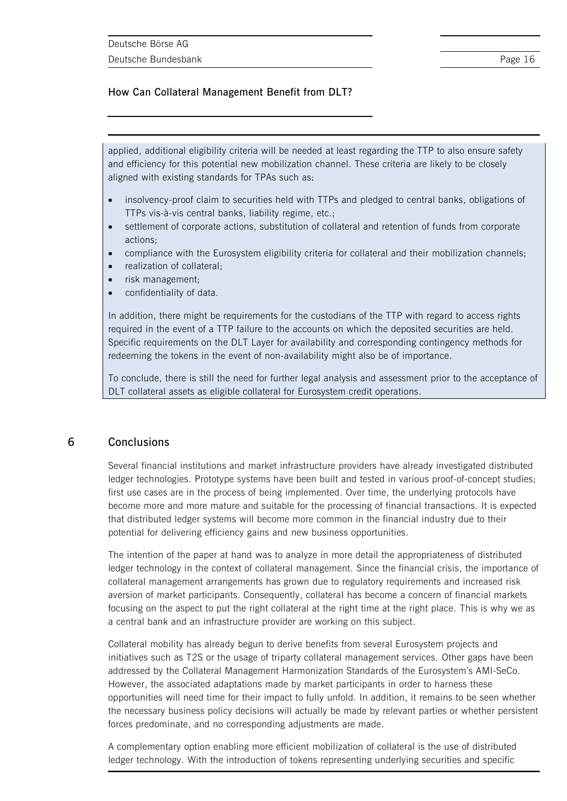applied, additional eligibility criteria will be needed at least regarding the TTP to also ensure safety and efficiency for this potential new mobilization channel. These criteria are likely to be closely aligned with existing standards for TPAs such as:

- insolvency-proof claim to securities held with TTPs and pledged to central banks, obligations of TTPs vis-à-vis central banks, liability regime, etc.;
- settlement of corporate actions, substitution of collateral and retention of funds from corporate actions;
- compliance with the Eurosystem eligibility criteria for collateral and their mobilization channels;
- realization of collateral;
- risk management;
- confidentiality of data.

In addition, there might be requirements for the custodians of the TTP with regard to access rights required in the event of a TTP failure to the accounts on which the deposited securities are held. Specific requirements on the DLT Layer for availability and corresponding contingency methods for redeeming the tokens in the event of non-availability might also be of importance.

To conclude, there is still the need for further legal analysis and assessment prior to the acceptance of DLT collateral assets as eligible collateral for Eurosystem credit operations.

### **6 Conclusions**

Several financial institutions and market infrastructure providers have already investigated distributed ledger technologies. Prototype systems have been built and tested in various proof-of-concept studies; first use cases are in the process of being implemented. Over time, the underlying protocols have become more and more mature and suitable for the processing of financial transactions. It is expected that distributed ledger systems will become more common in the financial industry due to their potential for delivering efficiency gains and new business opportunities.

The intention of the paper at hand was to analyze in more detail the appropriateness of distributed ledger technology in the context of collateral management. Since the financial crisis, the importance of collateral management arrangements has grown due to regulatory requirements and increased risk aversion of market participants. Consequently, collateral has become a concern of financial markets focusing on the aspect to put the right collateral at the right time at the right place. This is why we as a central bank and an infrastructure provider are working on this subject.

Collateral mobility has already begun to derive benefits from several Eurosystem projects and initiatives such as T2S or the usage of triparty collateral management services. Other gaps have been addressed by the Collateral Management Harmonization Standards of the Eurosystem's AMI-SeCo. However, the associated adaptations made by market participants in order to harness these opportunities will need time for their impact to fully unfold. In addition, it remains to be seen whether the necessary business policy decisions will actually be made by relevant parties or whether persistent forces predominate, and no corresponding adjustments are made.

A complementary option enabling more efficient mobilization of collateral is the use of distributed ledger technology. With the introduction of tokens representing underlying securities and specific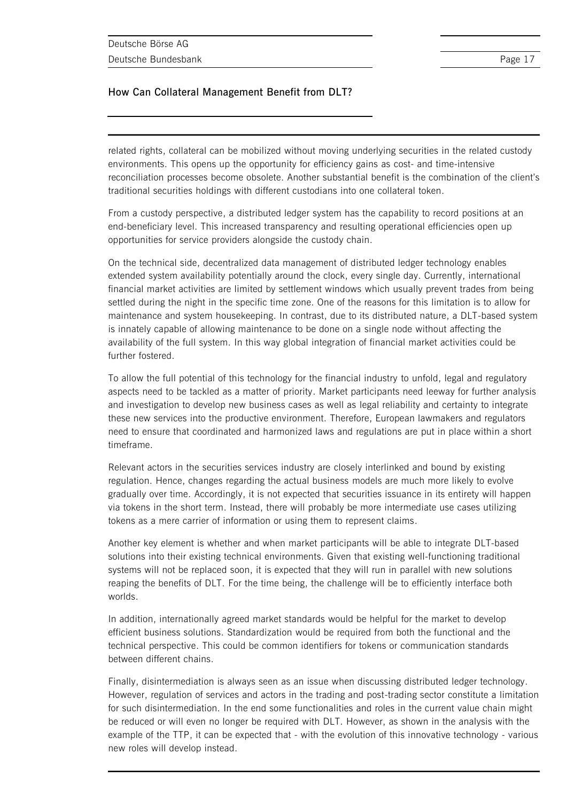related rights, collateral can be mobilized without moving underlying securities in the related custody environments. This opens up the opportunity for efficiency gains as cost- and time-intensive reconciliation processes become obsolete. Another substantial benefit is the combination of the client's traditional securities holdings with different custodians into one collateral token.

From a custody perspective, a distributed ledger system has the capability to record positions at an end-beneficiary level. This increased transparency and resulting operational efficiencies open up opportunities for service providers alongside the custody chain.

On the technical side, decentralized data management of distributed ledger technology enables extended system availability potentially around the clock, every single day. Currently, international financial market activities are limited by settlement windows which usually prevent trades from being settled during the night in the specific time zone. One of the reasons for this limitation is to allow for maintenance and system housekeeping. In contrast, due to its distributed nature, a DLT-based system is innately capable of allowing maintenance to be done on a single node without affecting the availability of the full system. In this way global integration of financial market activities could be further fostered.

To allow the full potential of this technology for the financial industry to unfold, legal and regulatory aspects need to be tackled as a matter of priority. Market participants need leeway for further analysis and investigation to develop new business cases as well as legal reliability and certainty to integrate these new services into the productive environment. Therefore, European lawmakers and regulators need to ensure that coordinated and harmonized laws and regulations are put in place within a short timeframe.

Relevant actors in the securities services industry are closely interlinked and bound by existing regulation. Hence, changes regarding the actual business models are much more likely to evolve gradually over time. Accordingly, it is not expected that securities issuance in its entirety will happen via tokens in the short term. Instead, there will probably be more intermediate use cases utilizing tokens as a mere carrier of information or using them to represent claims.

Another key element is whether and when market participants will be able to integrate DLT-based solutions into their existing technical environments. Given that existing well-functioning traditional systems will not be replaced soon, it is expected that they will run in parallel with new solutions reaping the benefits of DLT. For the time being, the challenge will be to efficiently interface both worlds.

In addition, internationally agreed market standards would be helpful for the market to develop efficient business solutions. Standardization would be required from both the functional and the technical perspective. This could be common identifiers for tokens or communication standards between different chains.

Finally, disintermediation is always seen as an issue when discussing distributed ledger technology. However, regulation of services and actors in the trading and post-trading sector constitute a limitation for such disintermediation. In the end some functionalities and roles in the current value chain might be reduced or will even no longer be required with DLT. However, as shown in the analysis with the example of the TTP, it can be expected that - with the evolution of this innovative technology - various new roles will develop instead.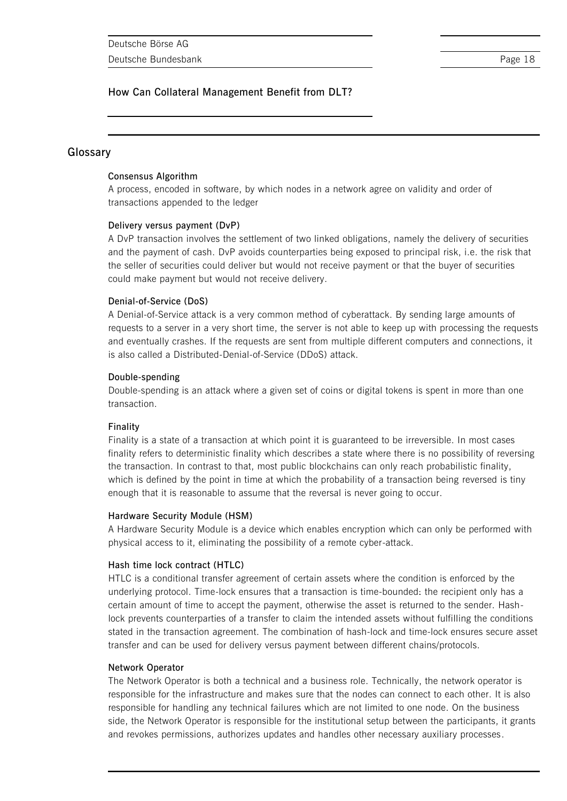### **Glossary**

### **Consensus Algorithm**

A process, encoded in software, by which nodes in a network agree on validity and order of transactions appended to the ledger

### **Delivery versus payment (DvP)**

A DvP transaction involves the settlement of two linked obligations, namely the delivery of securities and the payment of cash. DvP avoids counterparties being exposed to principal risk, i.e. the risk that the seller of securities could deliver but would not receive payment or that the buyer of securities could make payment but would not receive delivery.

### **Denial-of-Service (DoS)**

A Denial-of-Service attack is a very common method of cyberattack. By sending large amounts of requests to a server in a very short time, the server is not able to keep up with processing the requests and eventually crashes. If the requests are sent from multiple different computers and connections, it is also called a Distributed-Denial-of-Service (DDoS) attack.

### **Double-spending**

Double-spending is an attack where a given set of coins or digital tokens is spent in more than one transaction.

### **Finality**

Finality is a state of a transaction at which point it is guaranteed to be irreversible. In most cases finality refers to deterministic finality which describes a state where there is no possibility of reversing the transaction. In contrast to that, most public blockchains can only reach probabilistic finality, which is defined by the point in time at which the probability of a transaction being reversed is tiny enough that it is reasonable to assume that the reversal is never going to occur.

### **Hardware Security Module (HSM)**

A Hardware Security Module is a device which enables encryption which can only be performed with physical access to it, eliminating the possibility of a remote cyber-attack.

### **Hash time lock contract (HTLC)**

HTLC is a conditional transfer agreement of certain assets where the condition is enforced by the underlying protocol. Time-lock ensures that a transaction is time-bounded: the recipient only has a certain amount of time to accept the payment, otherwise the asset is returned to the sender. Hashlock prevents counterparties of a transfer to claim the intended assets without fulfilling the conditions stated in the transaction agreement. The combination of hash-lock and time-lock ensures secure asset transfer and can be used for delivery versus payment between different chains/protocols.

### **Network Operator**

The Network Operator is both a technical and a business role. Technically, the network operator is responsible for the infrastructure and makes sure that the nodes can connect to each other. It is also responsible for handling any technical failures which are not limited to one node. On the business side, the Network Operator is responsible for the institutional setup between the participants, it grants and revokes permissions, authorizes updates and handles other necessary auxiliary processes.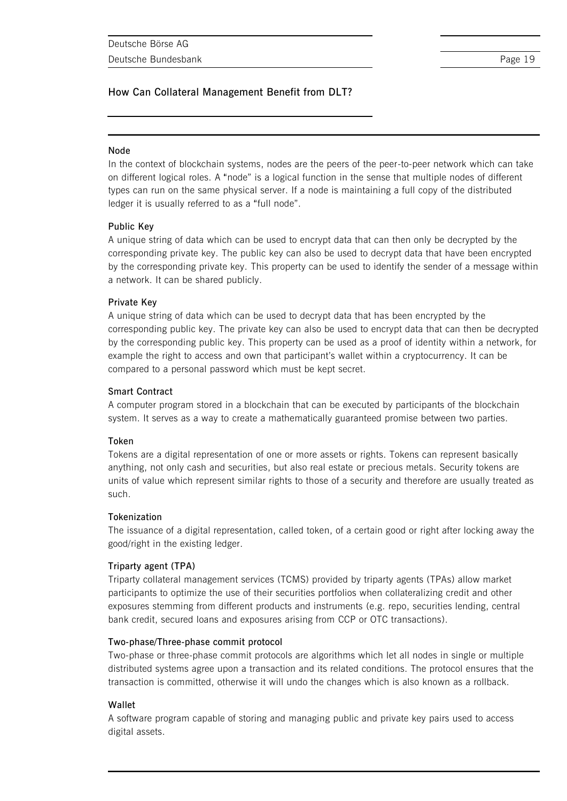### **Node**

In the context of blockchain systems, nodes are the peers of the peer-to-peer network which can take on different logical roles. A "node" is a logical function in the sense that multiple nodes of different types can run on the same physical server. If a node is maintaining a full copy of the distributed ledger it is usually referred to as a "full node".

### **Public Key**

A unique string of data which can be used to encrypt data that can then only be decrypted by the corresponding private key. The public key can also be used to decrypt data that have been encrypted by the corresponding private key. This property can be used to identify the sender of a message within a network. It can be shared publicly.

### **Private Key**

A unique string of data which can be used to decrypt data that has been encrypted by the corresponding public key. The private key can also be used to encrypt data that can then be decrypted by the corresponding public key. This property can be used as a proof of identity within a network, for example the right to access and own that participant's wallet within a cryptocurrency. It can be compared to a personal password which must be kept secret.

### **Smart Contract**

A computer program stored in a blockchain that can be executed by participants of the blockchain system. It serves as a way to create a mathematically guaranteed promise between two parties.

### **Token**

Tokens are a digital representation of one or more assets or rights. Tokens can represent basically anything, not only cash and securities, but also real estate or precious metals. Security tokens are units of value which represent similar rights to those of a security and therefore are usually treated as such.

### **Tokenization**

The issuance of a digital representation, called token, of a certain good or right after locking away the good/right in the existing ledger.

### **Triparty agent (TPA)**

Triparty collateral management services (TCMS) provided by triparty agents (TPAs) allow market participants to optimize the use of their securities portfolios when collateralizing credit and other exposures stemming from different products and instruments (e.g. repo, securities lending, central bank credit, secured loans and exposures arising from CCP or OTC transactions).

### **Two-phase/Three-phase commit protocol**

Two-phase or three-phase commit protocols are algorithms which let all nodes in single or multiple distributed systems agree upon a transaction and its related conditions. The protocol ensures that the transaction is committed, otherwise it will undo the changes which is also known as a rollback.

### **Wallet**

A software program capable of storing and managing public and private key pairs used to access digital assets.